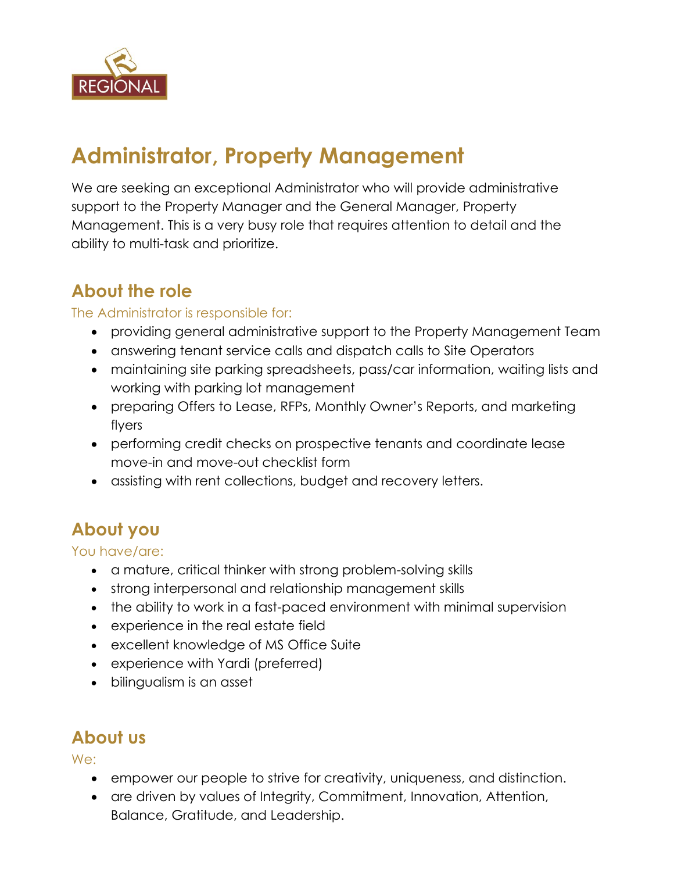

# **Administrator, Property Management**

We are seeking an exceptional Administrator who will provide administrative support to the Property Manager and the General Manager, Property Management. This is a very busy role that requires attention to detail and the ability to multi-task and prioritize.

## **About the role**

#### The Administrator is responsible for:

- providing general administrative support to the Property Management Team
- answering tenant service calls and dispatch calls to Site Operators
- maintaining site parking spreadsheets, pass/car information, waiting lists and working with parking lot management
- preparing Offers to Lease, RFPs, Monthly Owner's Reports, and marketing flyers
- performing credit checks on prospective tenants and coordinate lease move-in and move-out checklist form
- assisting with rent collections, budget and recovery letters.

# **About you**

You have/are:

- a mature, critical thinker with strong problem-solving skills
- strong interpersonal and relationship management skills
- the ability to work in a fast-paced environment with minimal supervision
- experience in the real estate field
- excellent knowledge of MS Office Suite
- experience with Yardi (preferred)
- bilingualism is an asset

## **About us**

We:

- empower our people to strive for creativity, uniqueness, and distinction.
- are driven by values of Integrity, Commitment, Innovation, Attention, Balance, Gratitude, and Leadership.